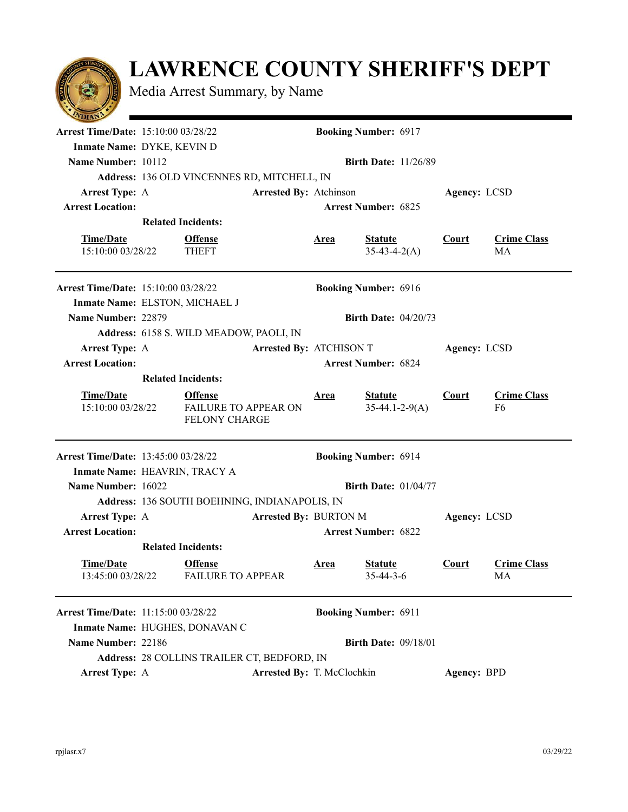

## **LAWRENCE COUNTY SHERIFF'S DEPT**

Media Arrest Summary, by Name

| $\sim$ $\sim$                              |                                               |                                                                       |  |                             |                                     |              |                          |  |  |
|--------------------------------------------|-----------------------------------------------|-----------------------------------------------------------------------|--|-----------------------------|-------------------------------------|--------------|--------------------------|--|--|
| <b>Arrest Time/Date: 15:10:00 03/28/22</b> | <b>Booking Number: 6917</b>                   |                                                                       |  |                             |                                     |              |                          |  |  |
|                                            | Inmate Name: DYKE, KEVIN D                    |                                                                       |  |                             |                                     |              |                          |  |  |
| Name Number: 10112                         | <b>Birth Date: 11/26/89</b>                   |                                                                       |  |                             |                                     |              |                          |  |  |
|                                            | Address: 136 OLD VINCENNES RD, MITCHELL, IN   |                                                                       |  |                             |                                     |              |                          |  |  |
| <b>Arrest Type: A</b>                      | Arrested By: Atchinson                        |                                                                       |  |                             |                                     |              | Agency: LCSD             |  |  |
| <b>Arrest Location:</b>                    |                                               |                                                                       |  |                             | <b>Arrest Number: 6825</b>          |              |                          |  |  |
|                                            | <b>Related Incidents:</b>                     |                                                                       |  |                             |                                     |              |                          |  |  |
| <b>Time/Date</b><br>15:10:00 03/28/22      |                                               | <b>Offense</b><br><b>THEFT</b>                                        |  | <u>Area</u>                 | <b>Statute</b><br>$35-43-4-2(A)$    | <b>Court</b> | <b>Crime Class</b><br>MA |  |  |
| <b>Arrest Time/Date: 15:10:00 03/28/22</b> |                                               |                                                                       |  |                             | <b>Booking Number: 6916</b>         |              |                          |  |  |
| Inmate Name: ELSTON, MICHAEL J             |                                               |                                                                       |  |                             |                                     |              |                          |  |  |
| Name Number: 22879                         | <b>Birth Date: 04/20/73</b>                   |                                                                       |  |                             |                                     |              |                          |  |  |
|                                            | Address: 6158 S. WILD MEADOW, PAOLI, IN       |                                                                       |  |                             |                                     |              |                          |  |  |
| <b>Arrest Type: A</b>                      | <b>Arrested By: ATCHISON T</b>                |                                                                       |  |                             |                                     | Agency: LCSD |                          |  |  |
| <b>Arrest Location:</b>                    |                                               |                                                                       |  |                             | <b>Arrest Number: 6824</b>          |              |                          |  |  |
|                                            | <b>Related Incidents:</b>                     |                                                                       |  |                             |                                     |              |                          |  |  |
| <b>Time/Date</b><br>15:10:00 03/28/22      |                                               | <b>Offense</b><br><b>FAILURE TO APPEAR ON</b><br><b>FELONY CHARGE</b> |  | <u>Area</u>                 | <b>Statute</b><br>$35-44.1-2-9(A)$  | <b>Court</b> | <b>Crime Class</b><br>F6 |  |  |
| <b>Arrest Time/Date: 13:45:00 03/28/22</b> |                                               |                                                                       |  |                             | <b>Booking Number: 6914</b>         |              |                          |  |  |
| Inmate Name: HEAVRIN, TRACY A              |                                               |                                                                       |  |                             |                                     |              |                          |  |  |
| Name Number: 16022                         |                                               |                                                                       |  | <b>Birth Date: 01/04/77</b> |                                     |              |                          |  |  |
|                                            | Address: 136 SOUTH BOEHNING, INDIANAPOLIS, IN |                                                                       |  |                             |                                     |              |                          |  |  |
| <b>Arrest Type: A</b>                      | <b>Arrested By: BURTON M</b>                  |                                                                       |  |                             |                                     | Agency: LCSD |                          |  |  |
| <b>Arrest Location:</b>                    | <b>Arrest Number: 6822</b>                    |                                                                       |  |                             |                                     |              |                          |  |  |
|                                            | <b>Related Incidents:</b>                     |                                                                       |  |                             |                                     |              |                          |  |  |
| <b>Time/Date</b><br>13:45:00 03/28/22      |                                               | <b>Offense</b><br><b>FAILURE TO APPEAR</b>                            |  | <u>Area</u>                 | <b>Statute</b><br>$35 - 44 - 3 - 6$ | <b>Court</b> | <b>Crime Class</b><br>MA |  |  |
| Arrest Time/Date: 11:15:00 03/28/22        |                                               |                                                                       |  |                             | <b>Booking Number: 6911</b>         |              |                          |  |  |
|                                            | Inmate Name: HUGHES, DONAVAN C                |                                                                       |  |                             |                                     |              |                          |  |  |
| Name Number: 22186                         |                                               |                                                                       |  |                             | <b>Birth Date: 09/18/01</b>         |              |                          |  |  |
|                                            |                                               |                                                                       |  |                             |                                     |              |                          |  |  |
|                                            |                                               | Address: 28 COLLINS TRAILER CT, BEDFORD, IN                           |  |                             |                                     |              |                          |  |  |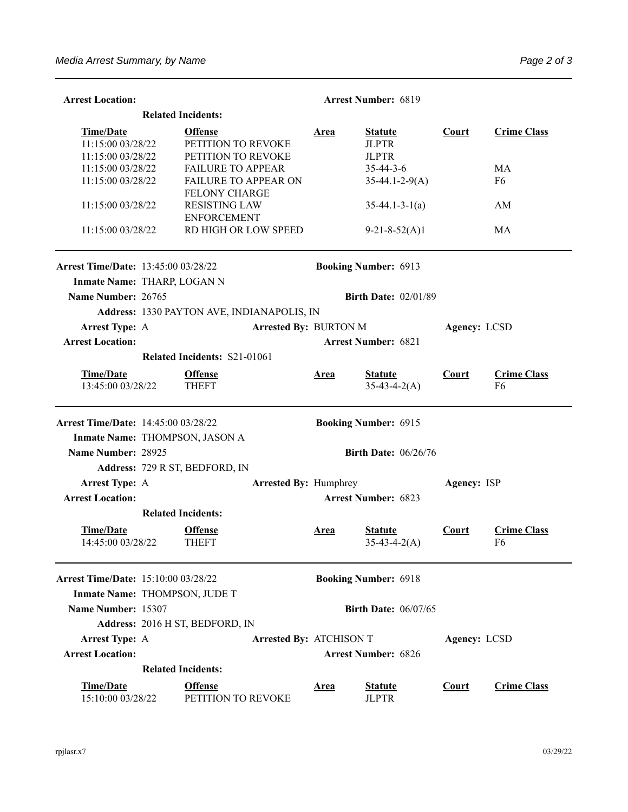| <b>Arrest Location:</b>                    |                                         |                                                                    |                                | <b>Arrest Number: 6819</b> |                                  |              |                                      |  |
|--------------------------------------------|-----------------------------------------|--------------------------------------------------------------------|--------------------------------|----------------------------|----------------------------------|--------------|--------------------------------------|--|
| <b>Related Incidents:</b>                  |                                         |                                                                    |                                |                            |                                  |              |                                      |  |
| <b>Time/Date</b>                           |                                         | <b>Offense</b>                                                     |                                |                            | <u>Area</u><br><b>Statute</b>    |              | <b>Crime Class</b>                   |  |
|                                            | 11:15:00 03/28/22<br>PETITION TO REVOKE |                                                                    |                                |                            | <b>JLPTR</b>                     |              |                                      |  |
| 11:15:00 03/28/22                          |                                         | PETITION TO REVOKE                                                 |                                |                            | <b>JLPTR</b>                     |              |                                      |  |
| 11:15:00 03/28/22                          |                                         | <b>FAILURE TO APPEAR</b>                                           |                                |                            | $35 - 44 - 3 - 6$                |              | MA                                   |  |
| 11:15:00 03/28/22                          |                                         | FAILURE TO APPEAR ON                                               |                                |                            | $35-44.1-2-9(A)$                 |              | F <sub>6</sub>                       |  |
| 11:15:00 03/28/22                          |                                         | <b>FELONY CHARGE</b><br><b>RESISTING LAW</b><br><b>ENFORCEMENT</b> |                                |                            | $35-44.1-3-1(a)$                 |              | AM                                   |  |
| 11:15:00 03/28/22                          |                                         | RD HIGH OR LOW SPEED                                               |                                |                            | $9-21-8-52(A)1$                  |              | MA                                   |  |
| <b>Arrest Time/Date: 13:45:00 03/28/22</b> |                                         |                                                                    |                                |                            | <b>Booking Number: 6913</b>      |              |                                      |  |
| Inmate Name: THARP, LOGAN N                |                                         |                                                                    |                                |                            |                                  |              |                                      |  |
| Name Number: 26765                         |                                         |                                                                    |                                |                            | <b>Birth Date: 02/01/89</b>      |              |                                      |  |
|                                            |                                         | Address: 1330 PAYTON AVE, INDIANAPOLIS, IN                         |                                |                            |                                  |              |                                      |  |
| <b>Arrest Type: A</b>                      |                                         |                                                                    | <b>Arrested By: BURTON M</b>   |                            |                                  | Agency: LCSD |                                      |  |
| <b>Arrest Location:</b>                    |                                         |                                                                    |                                | <b>Arrest Number: 6821</b> |                                  |              |                                      |  |
|                                            |                                         | Related Incidents: S21-01061                                       |                                |                            |                                  |              |                                      |  |
|                                            |                                         |                                                                    |                                |                            |                                  |              |                                      |  |
| <b>Time/Date</b><br>13:45:00 03/28/22      |                                         | <b>Offense</b><br><b>THEFT</b>                                     |                                | <u>Area</u>                | <b>Statute</b><br>$35-43-4-2(A)$ | <b>Court</b> | <b>Crime Class</b><br>F <sub>6</sub> |  |
| <b>Arrest Time/Date: 14:45:00 03/28/22</b> |                                         |                                                                    |                                |                            | <b>Booking Number: 6915</b>      |              |                                      |  |
| Inmate Name: THOMPSON, JASON A             |                                         |                                                                    |                                |                            |                                  |              |                                      |  |
| Name Number: 28925                         |                                         |                                                                    |                                |                            | <b>Birth Date: 06/26/76</b>      |              |                                      |  |
|                                            |                                         | Address: 729 R ST, BEDFORD, IN                                     |                                |                            |                                  |              |                                      |  |
| <b>Arrest Type: A</b>                      |                                         |                                                                    | <b>Arrested By: Humphrey</b>   |                            |                                  | Agency: ISP  |                                      |  |
| <b>Arrest Location:</b>                    |                                         |                                                                    |                                |                            | <b>Arrest Number: 6823</b>       |              |                                      |  |
|                                            |                                         | <b>Related Incidents:</b>                                          |                                |                            |                                  |              |                                      |  |
| <b>Time/Date</b><br>14:45:00 03/28/22      |                                         | <b>Offense</b><br><b>THEFT</b>                                     |                                | Area                       | <b>Statute</b><br>$35-43-4-2(A)$ | Court        | <b>Crime Class</b><br>F6             |  |
| <b>Arrest Time/Date: 15:10:00 03/28/22</b> |                                         |                                                                    |                                |                            | <b>Booking Number: 6918</b>      |              |                                      |  |
| Inmate Name: THOMPSON, JUDE T              |                                         |                                                                    |                                |                            |                                  |              |                                      |  |
| Name Number: 15307                         |                                         |                                                                    |                                |                            | <b>Birth Date: 06/07/65</b>      |              |                                      |  |
|                                            |                                         | Address: 2016 H ST, BEDFORD, IN                                    |                                |                            |                                  |              |                                      |  |
| <b>Arrest Type: A</b>                      |                                         |                                                                    | <b>Arrested By: ATCHISON T</b> |                            |                                  | Agency: LCSD |                                      |  |
| <b>Arrest Location:</b>                    |                                         |                                                                    |                                |                            | <b>Arrest Number: 6826</b>       |              |                                      |  |
|                                            |                                         | <b>Related Incidents:</b>                                          |                                |                            |                                  |              |                                      |  |
| <b>Time/Date</b><br>15:10:00 03/28/22      |                                         | <b>Offense</b><br>PETITION TO REVOKE                               |                                | <u>Area</u>                | <b>Statute</b><br><b>JLPTR</b>   | <b>Court</b> | <b>Crime Class</b>                   |  |